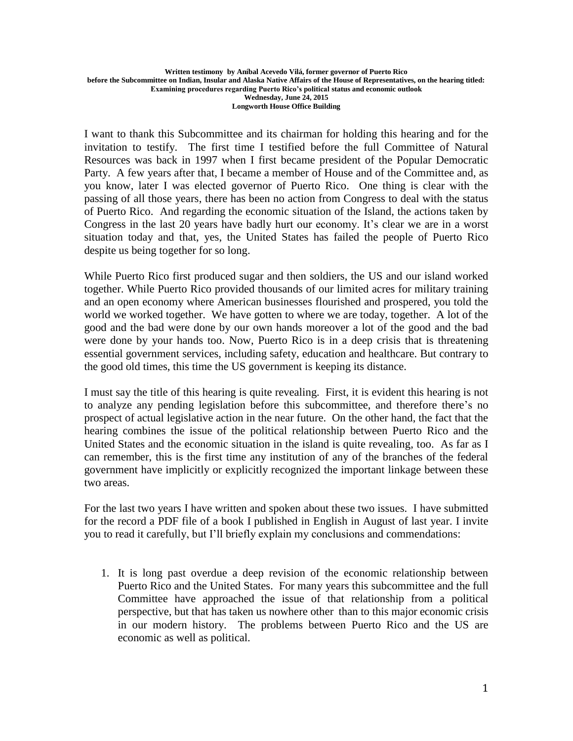**Longworth House Office Building**

I want to thank this Subcommittee and its chairman for holding this hearing and for the invitation to testify. The first time I testified before the full Committee of Natural Resources was back in 1997 when I first became president of the Popular Democratic Party. A few years after that, I became a member of House and of the Committee and, as you know, later I was elected governor of Puerto Rico. One thing is clear with the passing of all those years, there has been no action from Congress to deal with the status of Puerto Rico. And regarding the economic situation of the Island, the actions taken by Congress in the last 20 years have badly hurt our economy. It's clear we are in a worst situation today and that, yes, the United States has failed the people of Puerto Rico despite us being together for so long.

While Puerto Rico first produced sugar and then soldiers, the US and our island worked together. While Puerto Rico provided thousands of our limited acres for military training and an open economy where American businesses flourished and prospered, you told the world we worked together. We have gotten to where we are today, together. A lot of the good and the bad were done by our own hands moreover a lot of the good and the bad were done by your hands too. Now, Puerto Rico is in a deep crisis that is threatening essential government services, including safety, education and healthcare. But contrary to the good old times, this time the US government is keeping its distance.

I must say the title of this hearing is quite revealing. First, it is evident this hearing is not to analyze any pending legislation before this subcommittee, and therefore there's no prospect of actual legislative action in the near future. On the other hand, the fact that the hearing combines the issue of the political relationship between Puerto Rico and the United States and the economic situation in the island is quite revealing, too. As far as I can remember, this is the first time any institution of any of the branches of the federal government have implicitly or explicitly recognized the important linkage between these two areas.

For the last two years I have written and spoken about these two issues. I have submitted for the record a PDF file of a book I published in English in August of last year. I invite you to read it carefully, but I'll briefly explain my conclusions and commendations:

1. It is long past overdue a deep revision of the economic relationship between Puerto Rico and the United States. For many years this subcommittee and the full Committee have approached the issue of that relationship from a political perspective, but that has taken us nowhere other than to this major economic crisis in our modern history. The problems between Puerto Rico and the US are economic as well as political.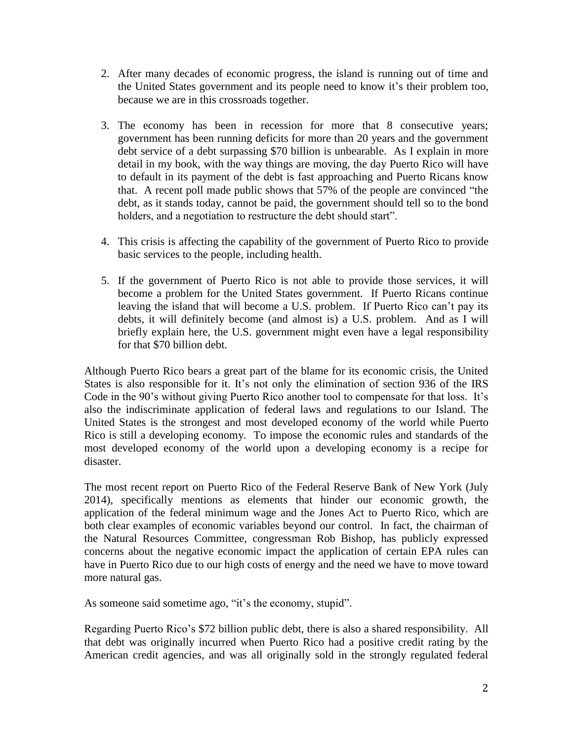- 2. After many decades of economic progress, the island is running out of time and the United States government and its people need to know it's their problem too, because we are in this crossroads together.
- 3. The economy has been in recession for more that 8 consecutive years; government has been running deficits for more than 20 years and the government debt service of a debt surpassing \$70 billion is unbearable. As I explain in more detail in my book, with the way things are moving, the day Puerto Rico will have to default in its payment of the debt is fast approaching and Puerto Ricans know that. A recent poll made public shows that 57% of the people are convinced "the debt, as it stands today, cannot be paid, the government should tell so to the bond holders, and a negotiation to restructure the debt should start".
- 4. This crisis is affecting the capability of the government of Puerto Rico to provide basic services to the people, including health.
- 5. If the government of Puerto Rico is not able to provide those services, it will become a problem for the United States government. If Puerto Ricans continue leaving the island that will become a U.S. problem. If Puerto Rico can't pay its debts, it will definitely become (and almost is) a U.S. problem. And as I will briefly explain here, the U.S. government might even have a legal responsibility for that \$70 billion debt.

Although Puerto Rico bears a great part of the blame for its economic crisis, the United States is also responsible for it. It's not only the elimination of section 936 of the IRS Code in the 90's without giving Puerto Rico another tool to compensate for that loss. It's also the indiscriminate application of federal laws and regulations to our Island. The United States is the strongest and most developed economy of the world while Puerto Rico is still a developing economy. To impose the economic rules and standards of the most developed economy of the world upon a developing economy is a recipe for disaster.

The most recent report on Puerto Rico of the Federal Reserve Bank of New York (July 2014), specifically mentions as elements that hinder our economic growth, the application of the federal minimum wage and the Jones Act to Puerto Rico, which are both clear examples of economic variables beyond our control. In fact, the chairman of the Natural Resources Committee, congressman Rob Bishop, has publicly expressed concerns about the negative economic impact the application of certain EPA rules can have in Puerto Rico due to our high costs of energy and the need we have to move toward more natural gas.

As someone said sometime ago, "it's the economy, stupid".

Regarding Puerto Rico's \$72 billion public debt, there is also a shared responsibility. All that debt was originally incurred when Puerto Rico had a positive credit rating by the American credit agencies, and was all originally sold in the strongly regulated federal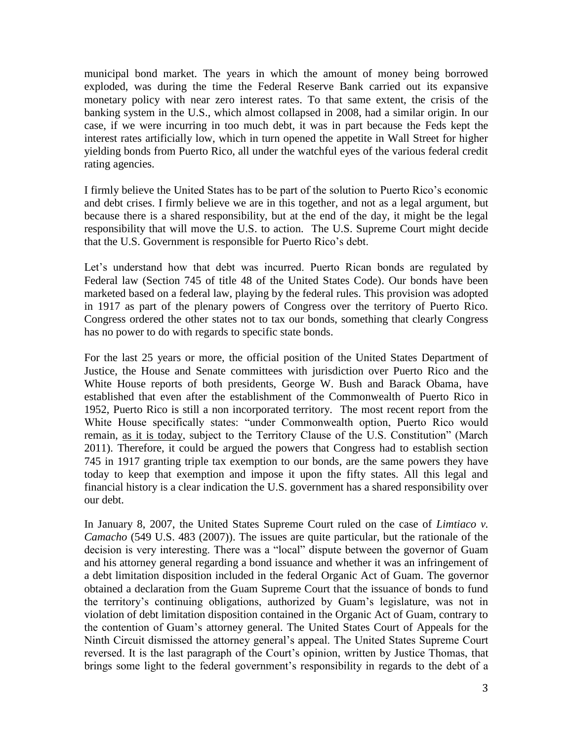municipal bond market. The years in which the amount of money being borrowed exploded, was during the time the Federal Reserve Bank carried out its expansive monetary policy with near zero interest rates. To that same extent, the crisis of the banking system in the U.S., which almost collapsed in 2008, had a similar origin. In our case, if we were incurring in too much debt, it was in part because the Feds kept the interest rates artificially low, which in turn opened the appetite in Wall Street for higher yielding bonds from Puerto Rico, all under the watchful eyes of the various federal credit rating agencies.

I firmly believe the United States has to be part of the solution to Puerto Rico's economic and debt crises. I firmly believe we are in this together, and not as a legal argument, but because there is a shared responsibility, but at the end of the day, it might be the legal responsibility that will move the U.S. to action. The U.S. Supreme Court might decide that the U.S. Government is responsible for Puerto Rico's debt.

Let's understand how that debt was incurred. Puerto Rican bonds are regulated by Federal law (Section 745 of title 48 of the United States Code). Our bonds have been marketed based on a federal law, playing by the federal rules. This provision was adopted in 1917 as part of the plenary powers of Congress over the territory of Puerto Rico. Congress ordered the other states not to tax our bonds, something that clearly Congress has no power to do with regards to specific state bonds.

For the last 25 years or more, the official position of the United States Department of Justice, the House and Senate committees with jurisdiction over Puerto Rico and the White House reports of both presidents, George W. Bush and Barack Obama, have established that even after the establishment of the Commonwealth of Puerto Rico in 1952, Puerto Rico is still a non incorporated territory. The most recent report from the White House specifically states: "under Commonwealth option, Puerto Rico would remain, as it is today, subject to the Territory Clause of the U.S. Constitution" (March 2011). Therefore, it could be argued the powers that Congress had to establish section 745 in 1917 granting triple tax exemption to our bonds, are the same powers they have today to keep that exemption and impose it upon the fifty states. All this legal and financial history is a clear indication the U.S. government has a shared responsibility over our debt.

In January 8, 2007, the United States Supreme Court ruled on the case of *Limtiaco v. Camacho* (549 U.S. 483 (2007)). The issues are quite particular, but the rationale of the decision is very interesting. There was a "local" dispute between the governor of Guam and his attorney general regarding a bond issuance and whether it was an infringement of a debt limitation disposition included in the federal Organic Act of Guam. The governor obtained a declaration from the Guam Supreme Court that the issuance of bonds to fund the territory's continuing obligations, authorized by Guam's legislature, was not in violation of debt limitation disposition contained in the Organic Act of Guam, contrary to the contention of Guam's attorney general. The United States Court of Appeals for the Ninth Circuit dismissed the attorney general's appeal. The United States Supreme Court reversed. It is the last paragraph of the Court's opinion, written by Justice Thomas, that brings some light to the federal government's responsibility in regards to the debt of a